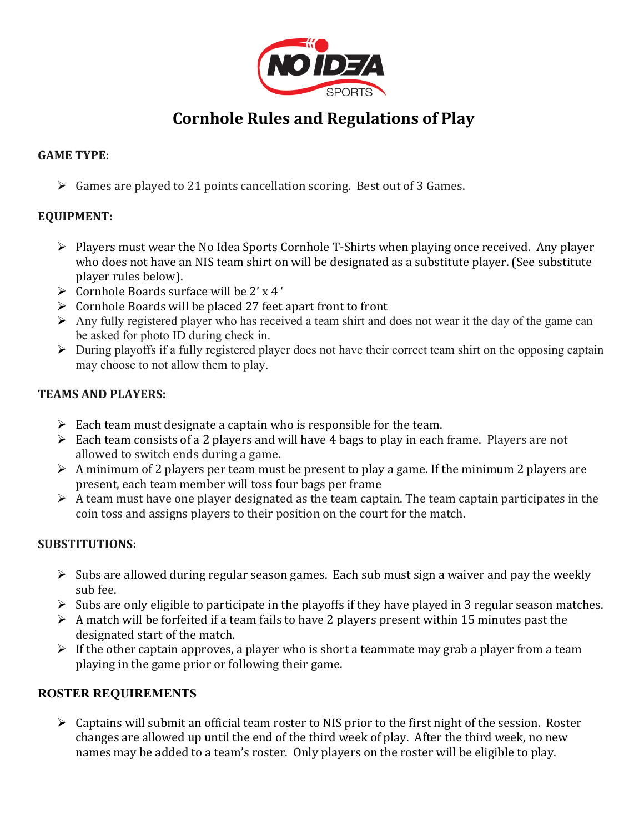

# **Cornhole Rules and Regulations of Play**

# **GAME TYPE:**

 $\triangleright$  Games are played to 21 points cancellation scoring. Best out of 3 Games.

# **EQUIPMENT:**

- $\triangleright$  Players must wear the No Idea Sports Cornhole T-Shirts when playing once received. Any player who does not have an NIS team shirt on will be designated as a substitute player. (See substitute player rules below).
- $\triangleright$  Cornhole Boards surface will be 2' x 4'
- $\triangleright$  Cornhole Boards will be placed 27 feet apart front to front
- $\triangleright$  Any fully registered player who has received a team shirt and does not wear it the day of the game can be asked for photo ID during check in.
- $\triangleright$  During playoffs if a fully registered player does not have their correct team shirt on the opposing captain may choose to not allow them to play.

### **TEAMS AND PLAYERS:**

- $\triangleright$  Each team must designate a captain who is responsible for the team.
- $\triangleright$  Each team consists of a 2 players and will have 4 bags to play in each frame. Players are not allowed to switch ends during a game.
- $\triangleright$  A minimum of 2 players per team must be present to play a game. If the minimum 2 players are present, each team member will toss four bags per frame
- $\triangleright$  A team must have one player designated as the team captain. The team captain participates in the coin toss and assigns players to their position on the court for the match.

# **SUBSTITUTIONS:**

- $\triangleright$  Subs are allowed during regular season games. Each sub must sign a waiver and pay the weekly sub fee.
- $\triangleright$  Subs are only eligible to participate in the playoffs if they have played in 3 regular season matches.
- $\triangleright$  A match will be forfeited if a team fails to have 2 players present within 15 minutes past the designated start of the match.
- $\triangleright$  If the other captain approves, a player who is short a teammate may grab a player from a team playing in the game prior or following their game.

#### **ROSTER REQUIREMENTS**

 $\triangleright$  Captains will submit an official team roster to NIS prior to the first night of the session. Roster changes are allowed up until the end of the third week of play. After the third week, no new names may be added to a team's roster. Only players on the roster will be eligible to play.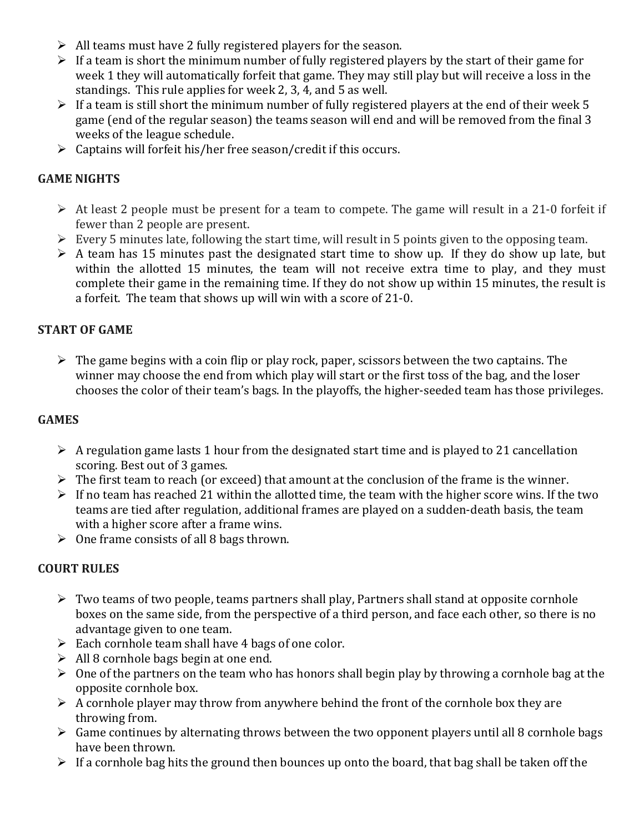- $\triangleright$  All teams must have 2 fully registered players for the season.
- $\triangleright$  If a team is short the minimum number of fully registered players by the start of their game for week 1 they will automatically forfeit that game. They may still play but will receive a loss in the standings. This rule applies for week 2, 3, 4, and 5 as well.
- $\triangleright$  If a team is still short the minimum number of fully registered players at the end of their week 5 game (end of the regular season) the teams season will end and will be removed from the final 3 weeks of the league schedule.
- $\triangleright$  Captains will forfeit his/her free season/credit if this occurs.

### **GAME NIGHTS**

- $\triangleright$  At least 2 people must be present for a team to compete. The game will result in a 21-0 forfeit if fewer than 2 people are present.
- $\triangleright$  Every 5 minutes late, following the start time, will result in 5 points given to the opposing team.
- $\triangleright$  A team has 15 minutes past the designated start time to show up. If they do show up late, but within the allotted 15 minutes, the team will not receive extra time to play, and they must complete their game in the remaining time. If they do not show up within 15 minutes, the result is a forfeit. The team that shows up will win with a score of 21-0.

### **START OF GAME**

 $\triangleright$  The game begins with a coin flip or play rock, paper, scissors between the two captains. The winner may choose the end from which play will start or the first toss of the bag, and the loser chooses the color of their team's bags. In the playoffs, the higher-seeded team has those privileges.

### **GAMES**

- $\triangleright$  A regulation game lasts 1 hour from the designated start time and is played to 21 cancellation scoring. Best out of 3 games.
- $\triangleright$  The first team to reach (or exceed) that amount at the conclusion of the frame is the winner.
- $\triangleright$  If no team has reached 21 within the allotted time, the team with the higher score wins. If the two teams are tied after regulation, additional frames are played on a sudden-death basis, the team with a higher score after a frame wins.
- $\triangleright$  One frame consists of all 8 bags thrown.

#### **COURT RULES**

- $\triangleright$  Two teams of two people, teams partners shall play, Partners shall stand at opposite cornhole boxes on the same side, from the perspective of a third person, and face each other, so there is no advantage given to one team.
- $\triangleright$  Each cornhole team shall have 4 bags of one color.
- $\triangleright$  All 8 cornhole bags begin at one end.
- $\triangleright$  One of the partners on the team who has honors shall begin play by throwing a cornhole bag at the opposite cornhole box.
- $\triangleright$  A cornhole player may throw from anywhere behind the front of the cornhole box they are throwing from.
- $\triangleright$  Game continues by alternating throws between the two opponent players until all 8 cornhole bags have been thrown.
- $\triangleright$  If a cornhole bag hits the ground then bounces up onto the board, that bag shall be taken off the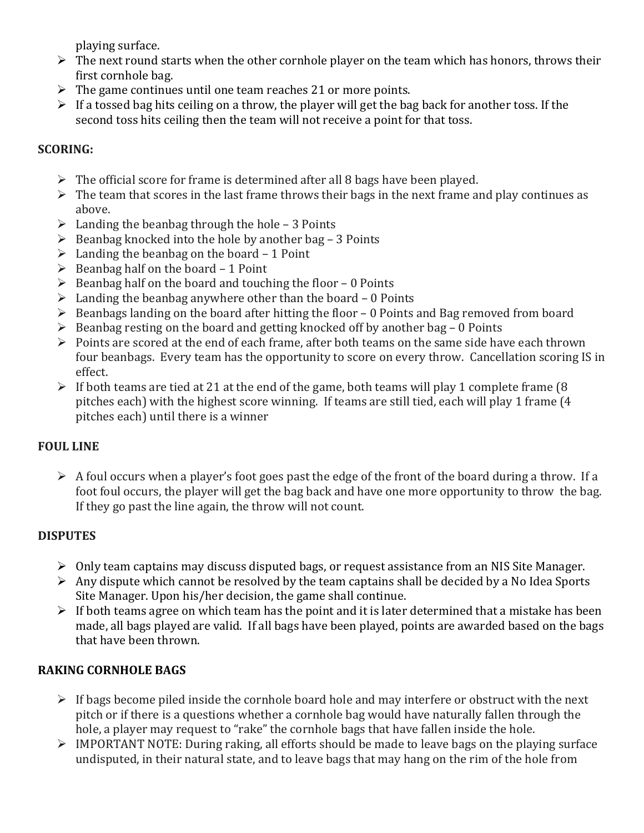playing surface.

- $\triangleright$  The next round starts when the other cornhole player on the team which has honors, throws their first cornhole bag.
- $\triangleright$  The game continues until one team reaches 21 or more points.
- $\triangleright$  If a tossed bag hits ceiling on a throw, the player will get the bag back for another toss. If the second toss hits ceiling then the team will not receive a point for that toss.

# **SCORING:**

- $\triangleright$  The official score for frame is determined after all 8 bags have been played.
- $\triangleright$  The team that scores in the last frame throws their bags in the next frame and play continues as above.
- $\triangleright$  Landing the beanbag through the hole 3 Points
- $\triangleright$  Beanbag knocked into the hole by another bag 3 Points
- $\triangleright$  Landing the beanbag on the board 1 Point
- $\triangleright$  Beanbag half on the board 1 Point
- $\triangleright$  Beanbag half on the board and touching the floor 0 Points
- $\triangleright$  Landing the beanbag anywhere other than the board 0 Points
- $\triangleright$  Beanbags landing on the board after hitting the floor 0 Points and Bag removed from board
- $\triangleright$  Beanbag resting on the board and getting knocked off by another bag 0 Points
- $\triangleright$  Points are scored at the end of each frame, after both teams on the same side have each thrown four beanbags. Every team has the opportunity to score on every throw. Cancellation scoring IS in effect.
- $\triangleright$  If both teams are tied at 21 at the end of the game, both teams will play 1 complete frame (8) pitches each) with the highest score winning. If teams are still tied, each will play 1 frame (4 pitches each) until there is a winner

# **FOUL LINE**

 $\triangleright$  A foul occurs when a player's foot goes past the edge of the front of the board during a throw. If a foot foul occurs, the player will get the bag back and have one more opportunity to throw the bag. If they go past the line again, the throw will not count.

# **DISPUTES**

- $\triangleright$  Only team captains may discuss disputed bags, or request assistance from an NIS Site Manager.
- $\triangleright$  Any dispute which cannot be resolved by the team captains shall be decided by a No Idea Sports Site Manager. Upon his/her decision, the game shall continue.
- $\triangleright$  If both teams agree on which team has the point and it is later determined that a mistake has been made, all bags played are valid. If all bags have been played, points are awarded based on the bags that have been thrown.

# **RAKING CORNHOLE BAGS**

- $\triangleright$  If bags become piled inside the cornhole board hole and may interfere or obstruct with the next pitch or if there is a questions whether a cornhole bag would have naturally fallen through the hole, a player may request to "rake" the cornhole bags that have fallen inside the hole.
- ▶ IMPORTANT NOTE: During raking, all efforts should be made to leave bags on the playing surface undisputed, in their natural state, and to leave bags that may hang on the rim of the hole from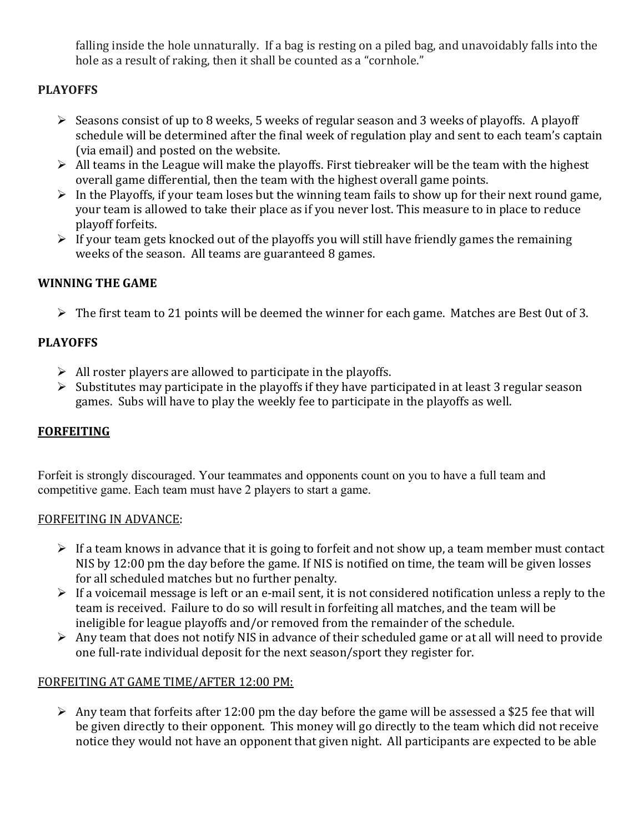falling inside the hole unnaturally. If a bag is resting on a piled bag, and unavoidably falls into the hole as a result of raking, then it shall be counted as a "cornhole."

# **PLAYOFFS**

- $\triangleright$  Seasons consist of up to 8 weeks, 5 weeks of regular season and 3 weeks of playoffs. A playoff schedule will be determined after the final week of regulation play and sent to each team's captain (via email) and posted on the website.
- $\triangleright$  All teams in the League will make the playoffs. First tiebreaker will be the team with the highest overall game differential, then the team with the highest overall game points.
- $\triangleright$  In the Playoffs, if your team loses but the winning team fails to show up for their next round game, your team is allowed to take their place as if you never lost. This measure to in place to reduce playoff forfeits.
- $\triangleright$  If your team gets knocked out of the playoffs you will still have friendly games the remaining weeks of the season. All teams are guaranteed 8 games.

# **WINNING THE GAME**

 $\triangleright$  The first team to 21 points will be deemed the winner for each game. Matches are Best Out of 3.

# **PLAYOFFS**

- $\triangleright$  All roster players are allowed to participate in the playoffs.
- $\triangleright$  Substitutes may participate in the playoffs if they have participated in at least 3 regular season games. Subs will have to play the weekly fee to participate in the playoffs as well.

# **FORFEITING**

Forfeit is strongly discouraged. Your teammates and opponents count on you to have a full team and competitive game. Each team must have 2 players to start a game.

# FORFEITING IN ADVANCE:

- $\triangleright$  If a team knows in advance that it is going to forfeit and not show up, a team member must contact NIS by 12:00 pm the day before the game. If NIS is notified on time, the team will be given losses for all scheduled matches but no further penalty.
- $\triangleright$  If a voicemail message is left or an e-mail sent, it is not considered notification unless a reply to the team is received. Failure to do so will result in forfeiting all matches, and the team will be ineligible for league playoffs and/or removed from the remainder of the schedule.
- $\triangleright$  Any team that does not notify NIS in advance of their scheduled game or at all will need to provide one full-rate individual deposit for the next season/sport they register for.

# FORFEITING AT GAME TIME/AFTER 12:00 PM:

 $\triangleright$  Any team that forfeits after 12:00 pm the day before the game will be assessed a \$25 fee that will be given directly to their opponent. This money will go directly to the team which did not receive notice they would not have an opponent that given night. All participants are expected to be able